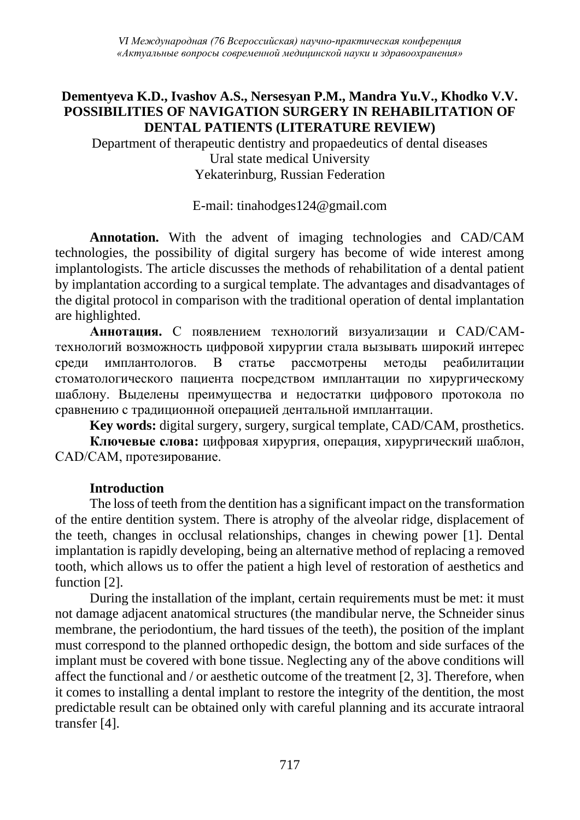*VI Международная (76 Всероссийская) научно-практическая конференция «Актуальные вопросы современной медицинской науки и здравоохранения»*

## **Dementyeva K.D., Ivashov A.S., Nersesyan P.M., Mandra Yu.V., Khodko V.V. POSSIBILITIES OF NAVIGATION SURGERY IN REHABILITATION OF DENTAL PATIENTS (LITERATURE REVIEW)**

Department of therapeutic dentistry and propaedeutics of dental diseases Ural state medical University Yekaterinburg, Russian Federation

E-mail: tinahodges124@gmail.com

**Annotation.** With the advent of imaging technologies and CAD/CAM technologies, the possibility of digital surgery has become of wide interest among implantologists. The article discusses the methods of rehabilitation of a dental patient by implantation according to a surgical template. The advantages and disadvantages of the digital protocol in comparison with the traditional operation of dental implantation are highlighted.

**Аннотация.** С появлением технологий визуализации и CAD/CAMтехнологий возможность цифровой хирургии стала вызывать широкий интерес среди имплантологов. В статье рассмотрены методы реабилитации стоматологического пациента посредством имплантации по хирургическому шаблону. Выделены преимущества и недостатки цифрового протокола по сравнению с традиционной операцией дентальной имплантации.

**Key words:** digital surgery, surgery, surgical template, CAD/CAM, prosthetics.

**Ключевые слова:** цифровая хирургия, операция, хирургический шаблон, CAD/CAM, протезирование.

# **Introduction**

The loss of teeth from the dentition has a significant impact on the transformation of the entire dentition system. There is atrophy of the alveolar ridge, displacement of the teeth, changes in occlusal relationships, changes in chewing power [1]. Dental implantation is rapidly developing, being an alternative method of replacing a removed tooth, which allows us to offer the patient a high level of restoration of aesthetics and function [2].

During the installation of the implant, certain requirements must be met: it must not damage adjacent anatomical structures (the mandibular nerve, the Schneider sinus membrane, the periodontium, the hard tissues of the teeth), the position of the implant must correspond to the planned orthopedic design, the bottom and side surfaces of the implant must be covered with bone tissue. Neglecting any of the above conditions will affect the functional and / or aesthetic outcome of the treatment [2, 3]. Therefore, when it comes to installing a dental implant to restore the integrity of the dentition, the most predictable result can be obtained only with careful planning and its accurate intraoral transfer [4].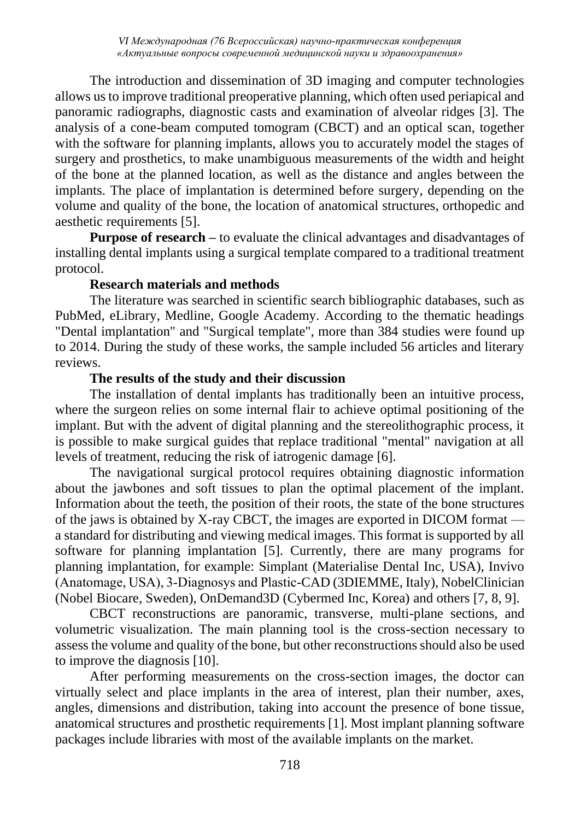The introduction and dissemination of 3D imaging and computer technologies allows us to improve traditional preoperative planning, which often used periapical and panoramic radiographs, diagnostic casts and examination of alveolar ridges [3]. The analysis of a cone-beam computed tomogram (CBCT) and an optical scan, together with the software for planning implants, allows you to accurately model the stages of surgery and prosthetics, to make unambiguous measurements of the width and height of the bone at the planned location, as well as the distance and angles between the implants. The place of implantation is determined before surgery, depending on the volume and quality of the bone, the location of anatomical structures, orthopedic and aesthetic requirements [5].

**Purpose of research** – to evaluate the clinical advantages and disadvantages of installing dental implants using a surgical template compared to a traditional treatment protocol.

### **Research materials and methods**

The literature was searched in scientific search bibliographic databases, such as PubMed, eLibrary, Medline, Google Academy. According to the thematic headings "Dental implantation" and "Surgical template", more than 384 studies were found up to 2014. During the study of these works, the sample included 56 articles and literary reviews.

### **The results of the study and their discussion**

The installation of dental implants has traditionally been an intuitive process, where the surgeon relies on some internal flair to achieve optimal positioning of the implant. But with the advent of digital planning and the stereolithographic process, it is possible to make surgical guides that replace traditional "mental" navigation at all levels of treatment, reducing the risk of iatrogenic damage [6].

The navigational surgical protocol requires obtaining diagnostic information about the jawbones and soft tissues to plan the optimal placement of the implant. Information about the teeth, the position of their roots, the state of the bone structures of the jaws is obtained by X-ray CBCT, the images are exported in DICOM format a standard for distributing and viewing medical images. This format is supported by all software for planning implantation [5]. Currently, there are many programs for planning implantation, for example: Simplant (Materialise Dental Inc, USA), Invivo (Anatomage, USA), 3‐Diagnosys and Plastic-CAD (3DIEMME, Italy), NobelClinician (Nobel Biocare, Sweden), OnDemand3D (Cybermed Inc, Korea) and others [7, 8, 9].

CBCT reconstructions are panoramic, transverse, multi-plane sections, and volumetric visualization. The main planning tool is the cross-section necessary to assess the volume and quality of the bone, but other reconstructions should also be used to improve the diagnosis [10].

After performing measurements on the cross-section images, the doctor can virtually select and place implants in the area of interest, plan their number, axes, angles, dimensions and distribution, taking into account the presence of bone tissue, anatomical structures and prosthetic requirements [1]. Most implant planning software packages include libraries with most of the available implants on the market.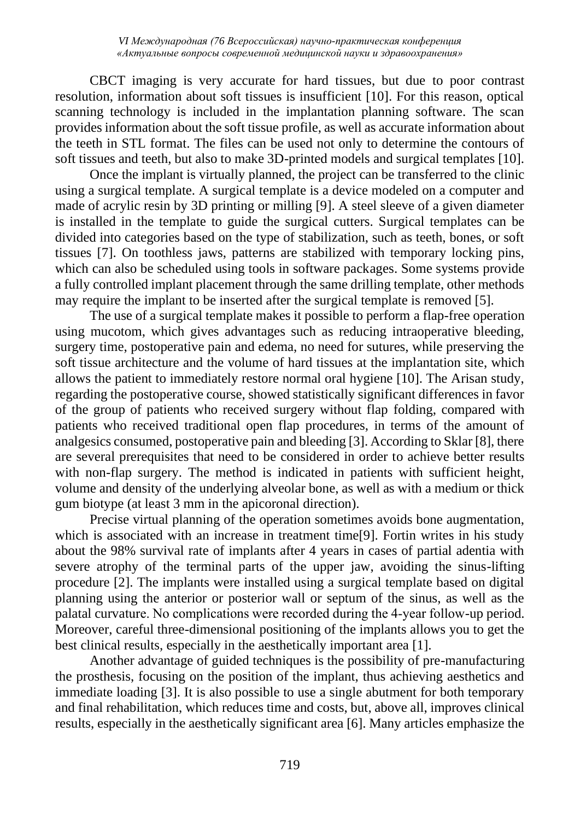CBCT imaging is very accurate for hard tissues, but due to poor contrast resolution, information about soft tissues is insufficient [10]. For this reason, optical scanning technology is included in the implantation planning software. The scan provides information about the soft tissue profile, as well as accurate information about the teeth in STL format. The files can be used not only to determine the contours of soft tissues and teeth, but also to make 3D-printed models and surgical templates [10].

Once the implant is virtually planned, the project can be transferred to the clinic using a surgical template. A surgical template is a device modeled on a computer and made of acrylic resin by 3D printing or milling [9]. A steel sleeve of a given diameter is installed in the template to guide the surgical cutters. Surgical templates can be divided into categories based on the type of stabilization, such as teeth, bones, or soft tissues [7]. On toothless jaws, patterns are stabilized with temporary locking pins, which can also be scheduled using tools in software packages. Some systems provide a fully controlled implant placement through the same drilling template, other methods may require the implant to be inserted after the surgical template is removed [5].

The use of a surgical template makes it possible to perform a flap-free operation using mucotom, which gives advantages such as reducing intraoperative bleeding, surgery time, postoperative pain and edema, no need for sutures, while preserving the soft tissue architecture and the volume of hard tissues at the implantation site, which allows the patient to immediately restore normal oral hygiene [10]. The Arisan study, regarding the postoperative course, showed statistically significant differences in favor of the group of patients who received surgery without flap folding, compared with patients who received traditional open flap procedures, in terms of the amount of analgesics consumed, postoperative pain and bleeding [3]. According to Sklar [8], there are several prerequisites that need to be considered in order to achieve better results with non-flap surgery. The method is indicated in patients with sufficient height, volume and density of the underlying alveolar bone, as well as with a medium or thick gum biotype (at least 3 mm in the apicoronal direction).

Precise virtual planning of the operation sometimes avoids bone augmentation, which is associated with an increase in treatment time[9]. Fortin writes in his study about the 98% survival rate of implants after 4 years in cases of partial adentia with severe atrophy of the terminal parts of the upper jaw, avoiding the sinus-lifting procedure [2]. The implants were installed using a surgical template based on digital planning using the anterior or posterior wall or septum of the sinus, as well as the palatal curvature. No complications were recorded during the 4‐year follow-up period. Moreover, careful three-dimensional positioning of the implants allows you to get the best clinical results, especially in the aesthetically important area [1].

Another advantage of guided techniques is the possibility of pre-manufacturing the prosthesis, focusing on the position of the implant, thus achieving aesthetics and immediate loading [3]. It is also possible to use a single abutment for both temporary and final rehabilitation, which reduces time and costs, but, above all, improves clinical results, especially in the aesthetically significant area [6]. Many articles emphasize the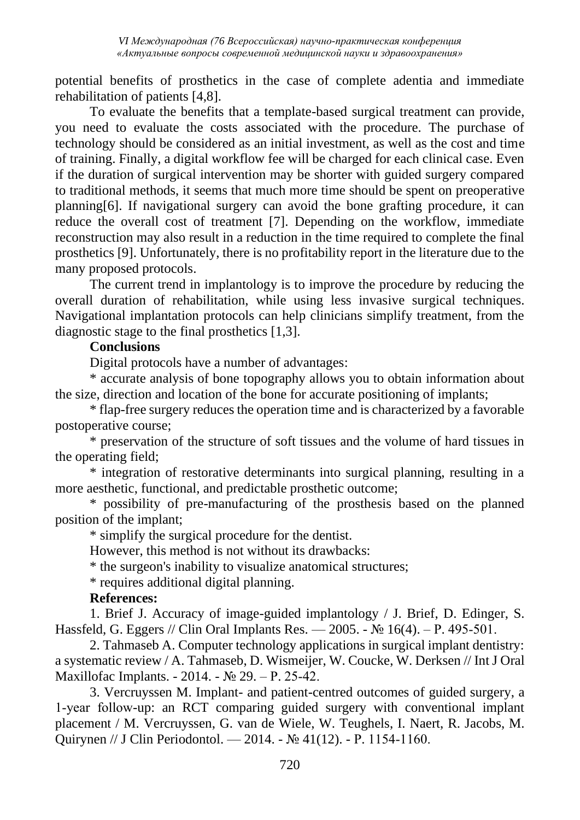potential benefits of prosthetics in the case of complete adentia and immediate rehabilitation of patients [4,8].

To evaluate the benefits that a template-based surgical treatment can provide, you need to evaluate the costs associated with the procedure. The purchase of technology should be considered as an initial investment, as well as the cost and time of training. Finally, a digital workflow fee will be charged for each clinical case. Even if the duration of surgical intervention may be shorter with guided surgery compared to traditional methods, it seems that much more time should be spent on preoperative planning[6]. If navigational surgery can avoid the bone grafting procedure, it can reduce the overall cost of treatment [7]. Depending on the workflow, immediate reconstruction may also result in a reduction in the time required to complete the final prosthetics [9]. Unfortunately, there is no profitability report in the literature due to the many proposed protocols.

The current trend in implantology is to improve the procedure by reducing the overall duration of rehabilitation, while using less invasive surgical techniques. Navigational implantation protocols can help clinicians simplify treatment, from the diagnostic stage to the final prosthetics [1,3].

# **Conclusions**

Digital protocols have a number of advantages:

\* accurate analysis of bone topography allows you to obtain information about the size, direction and location of the bone for accurate positioning of implants;

\* flap-free surgery reduces the operation time and is characterized by a favorable postoperative course;

\* preservation of the structure of soft tissues and the volume of hard tissues in the operating field;

\* integration of restorative determinants into surgical planning, resulting in a more aesthetic, functional, and predictable prosthetic outcome;

\* possibility of pre-manufacturing of the prosthesis based on the planned position of the implant;

\* simplify the surgical procedure for the dentist.

However, this method is not without its drawbacks:

\* the surgeon's inability to visualize anatomical structures;

\* requires additional digital planning.

#### **References:**

1. Brief J. Accuracy of image-guided implantology / J. Brief, D. Edinger, S. Hassfeld, G. Eggers // Clin Oral Implants Res. — 2005. - № 16(4). – Р. 495‐501.

2. Tahmaseb A. Computer technology applications in surgical implant dentistry: a systematic review / A. Tahmaseb, D. Wismeijer, W. Coucke, W. Derksen // Int J Oral Maxillofac Implants. - 2014. - № 29. – Р. 25‐42.

3. Vercruyssen M. Implant- and patient-centred outcomes of guided surgery, a 1‐year follow-up: an RCT comparing guided surgery with conventional implant placement / M. Vercruyssen, G. van de Wiele, W. Teughels, I. Naert, R. Jacobs, M. Quirynen // J Clin Periodontol. — 2014. - № 41(12). - Р. 1154‐1160.